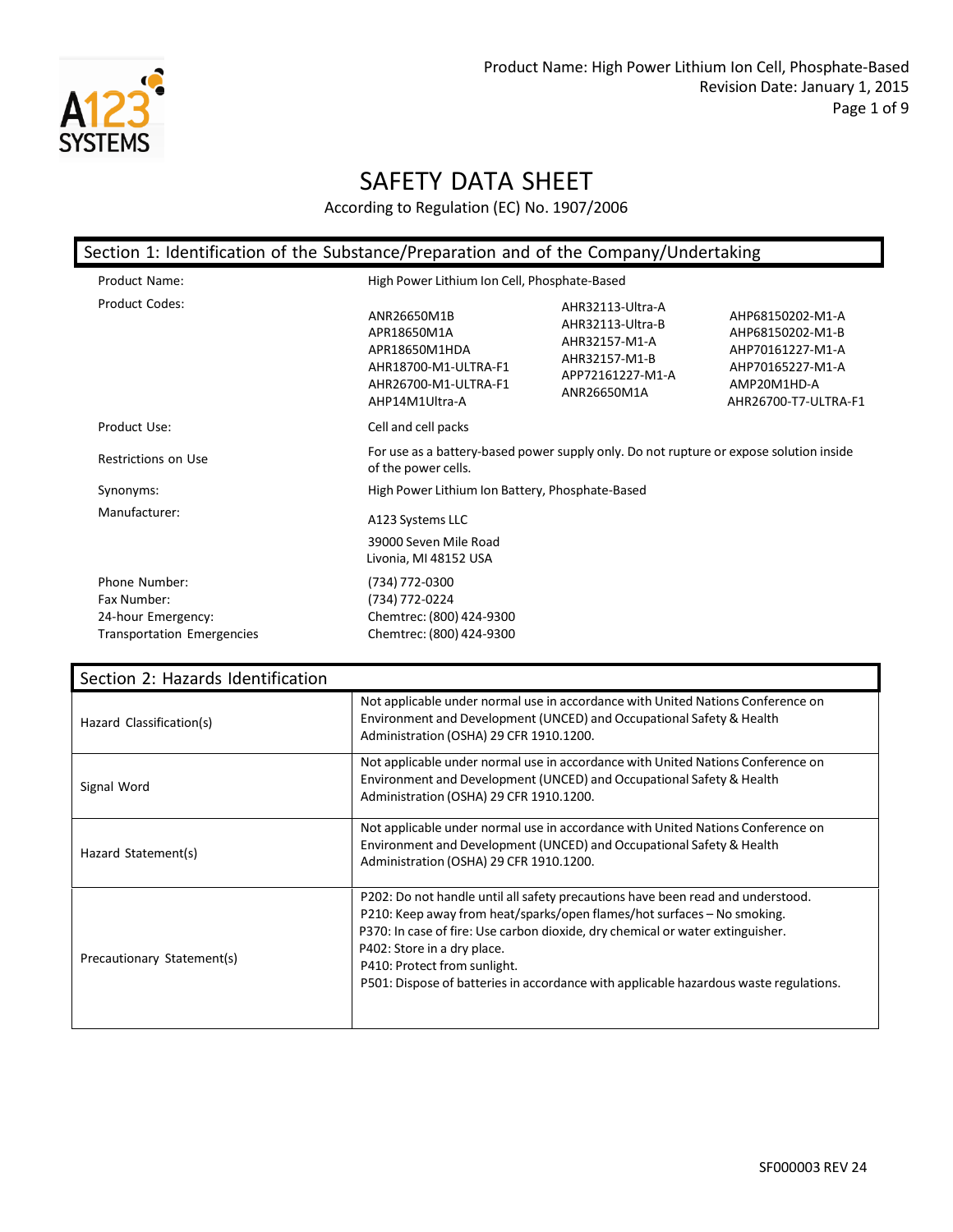

| Section 1: Identification of the Substance/Preparation and of the Company/Undertaking   |                                                                                                               |                                                                                                           |                                                                                                                     |  |
|-----------------------------------------------------------------------------------------|---------------------------------------------------------------------------------------------------------------|-----------------------------------------------------------------------------------------------------------|---------------------------------------------------------------------------------------------------------------------|--|
| Product Name:                                                                           |                                                                                                               | High Power Lithium Ion Cell, Phosphate-Based                                                              |                                                                                                                     |  |
| Product Codes:                                                                          | ANR26650M1B<br>APR18650M1A<br>APR18650M1HDA<br>AHR18700-M1-ULTRA-F1<br>AHR26700-M1-ULTRA-F1<br>AHP14M1Ultra-A | AHR32113-Ultra-A<br>AHR32113-Ultra-B<br>AHR32157-M1-A<br>AHR32157-M1-B<br>APP72161227-M1-A<br>ANR26650M1A | AHP68150202-M1-A<br>AHP68150202-M1-B<br>AHP70161227-M1-A<br>AHP70165227-M1-A<br>AMP20M1HD-A<br>AHR26700-T7-ULTRA-F1 |  |
| Product Use:                                                                            | Cell and cell packs                                                                                           |                                                                                                           |                                                                                                                     |  |
| Restrictions on Use                                                                     | of the power cells.                                                                                           | For use as a battery-based power supply only. Do not rupture or expose solution inside                    |                                                                                                                     |  |
| Synonyms:                                                                               | High Power Lithium Ion Battery, Phosphate-Based                                                               |                                                                                                           |                                                                                                                     |  |
| Manufacturer:                                                                           | A123 Systems LLC<br>39000 Seven Mile Road<br>Livonia, MI 48152 USA                                            |                                                                                                           |                                                                                                                     |  |
| Phone Number:<br>Fax Number:<br>24-hour Emergency:<br><b>Transportation Emergencies</b> | (734) 772-0300<br>(734) 772-0224<br>Chemtrec: (800) 424-9300<br>Chemtrec: (800) 424-9300                      |                                                                                                           |                                                                                                                     |  |

| Section 2: Hazards Identification |                                                                                                                                                                                                                                                                                                                                                                                                      |
|-----------------------------------|------------------------------------------------------------------------------------------------------------------------------------------------------------------------------------------------------------------------------------------------------------------------------------------------------------------------------------------------------------------------------------------------------|
| Hazard Classification(s)          | Not applicable under normal use in accordance with United Nations Conference on<br>Environment and Development (UNCED) and Occupational Safety & Health<br>Administration (OSHA) 29 CFR 1910.1200.                                                                                                                                                                                                   |
| Signal Word                       | Not applicable under normal use in accordance with United Nations Conference on<br>Environment and Development (UNCED) and Occupational Safety & Health<br>Administration (OSHA) 29 CFR 1910.1200.                                                                                                                                                                                                   |
| Hazard Statement(s)               | Not applicable under normal use in accordance with United Nations Conference on<br>Environment and Development (UNCED) and Occupational Safety & Health<br>Administration (OSHA) 29 CFR 1910.1200.                                                                                                                                                                                                   |
| Precautionary Statement(s)        | P202: Do not handle until all safety precautions have been read and understood.<br>P210: Keep away from heat/sparks/open flames/hot surfaces - No smoking.<br>P370: In case of fire: Use carbon dioxide, dry chemical or water extinguisher.<br>P402: Store in a dry place.<br>P410: Protect from sunlight.<br>P501: Dispose of batteries in accordance with applicable hazardous waste regulations. |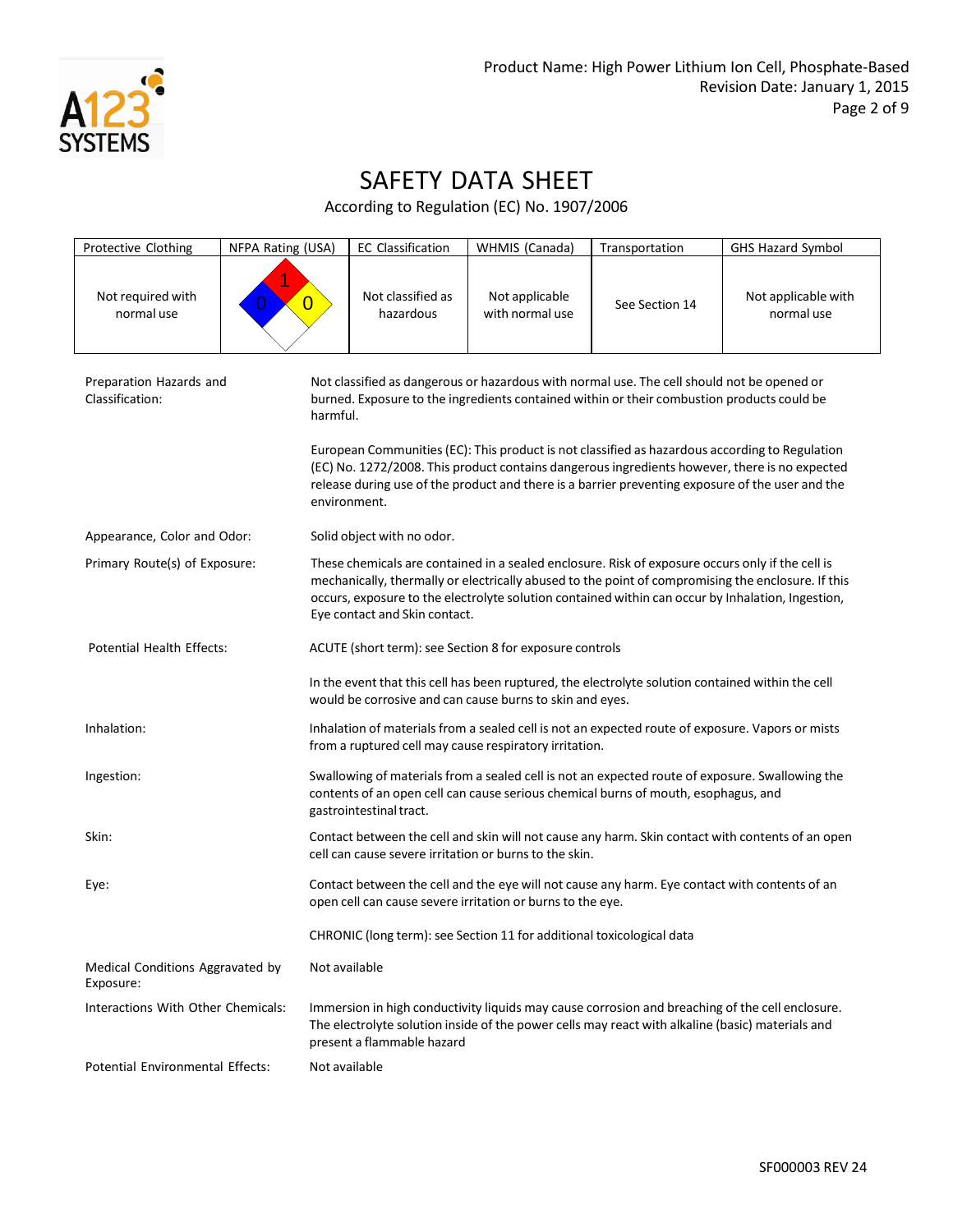

| Protective Clothing                           | NFPA Rating (USA)   | <b>EC Classification</b>                                                                                                                                                                                                                                                                                                                     | WHMIS (Canada)                                                        | Transportation                                                                                                                                                                                                                                                                                      | <b>GHS Hazard Symbol</b>          |
|-----------------------------------------------|---------------------|----------------------------------------------------------------------------------------------------------------------------------------------------------------------------------------------------------------------------------------------------------------------------------------------------------------------------------------------|-----------------------------------------------------------------------|-----------------------------------------------------------------------------------------------------------------------------------------------------------------------------------------------------------------------------------------------------------------------------------------------------|-----------------------------------|
| Not required with<br>normal use               | $\overline{0}$<br>0 | Not classified as<br>hazardous                                                                                                                                                                                                                                                                                                               | Not applicable<br>with normal use                                     | See Section 14                                                                                                                                                                                                                                                                                      | Not applicable with<br>normal use |
| Preparation Hazards and<br>Classification:    | harmful.            |                                                                                                                                                                                                                                                                                                                                              |                                                                       | Not classified as dangerous or hazardous with normal use. The cell should not be opened or<br>burned. Exposure to the ingredients contained within or their combustion products could be                                                                                                            |                                   |
|                                               |                     | environment.                                                                                                                                                                                                                                                                                                                                 |                                                                       | European Communities (EC): This product is not classified as hazardous according to Regulation<br>(EC) No. 1272/2008. This product contains dangerous ingredients however, there is no expected<br>release during use of the product and there is a barrier preventing exposure of the user and the |                                   |
| Appearance, Color and Odor:                   |                     | Solid object with no odor.                                                                                                                                                                                                                                                                                                                   |                                                                       |                                                                                                                                                                                                                                                                                                     |                                   |
| Primary Route(s) of Exposure:                 |                     | These chemicals are contained in a sealed enclosure. Risk of exposure occurs only if the cell is<br>mechanically, thermally or electrically abused to the point of compromising the enclosure. If this<br>occurs, exposure to the electrolyte solution contained within can occur by Inhalation, Ingestion,<br>Eye contact and Skin contact. |                                                                       |                                                                                                                                                                                                                                                                                                     |                                   |
| <b>Potential Health Effects:</b>              |                     |                                                                                                                                                                                                                                                                                                                                              | ACUTE (short term): see Section 8 for exposure controls               |                                                                                                                                                                                                                                                                                                     |                                   |
|                                               |                     |                                                                                                                                                                                                                                                                                                                                              | would be corrosive and can cause burns to skin and eyes.              | In the event that this cell has been ruptured, the electrolyte solution contained within the cell                                                                                                                                                                                                   |                                   |
| Inhalation:                                   |                     | Inhalation of materials from a sealed cell is not an expected route of exposure. Vapors or mists<br>from a ruptured cell may cause respiratory irritation.                                                                                                                                                                                   |                                                                       |                                                                                                                                                                                                                                                                                                     |                                   |
| Ingestion:                                    |                     | Swallowing of materials from a sealed cell is not an expected route of exposure. Swallowing the<br>contents of an open cell can cause serious chemical burns of mouth, esophagus, and<br>gastrointestinal tract.                                                                                                                             |                                                                       |                                                                                                                                                                                                                                                                                                     |                                   |
| Skin:                                         |                     | Contact between the cell and skin will not cause any harm. Skin contact with contents of an open<br>cell can cause severe irritation or burns to the skin.                                                                                                                                                                                   |                                                                       |                                                                                                                                                                                                                                                                                                     |                                   |
| Eye:                                          |                     | Contact between the cell and the eye will not cause any harm. Eye contact with contents of an<br>open cell can cause severe irritation or burns to the eye.                                                                                                                                                                                  |                                                                       |                                                                                                                                                                                                                                                                                                     |                                   |
|                                               |                     |                                                                                                                                                                                                                                                                                                                                              | CHRONIC (long term): see Section 11 for additional toxicological data |                                                                                                                                                                                                                                                                                                     |                                   |
| Medical Conditions Aggravated by<br>Exposure: |                     | Not available                                                                                                                                                                                                                                                                                                                                |                                                                       |                                                                                                                                                                                                                                                                                                     |                                   |
| Interactions With Other Chemicals:            |                     | Immersion in high conductivity liquids may cause corrosion and breaching of the cell enclosure.<br>The electrolyte solution inside of the power cells may react with alkaline (basic) materials and<br>present a flammable hazard                                                                                                            |                                                                       |                                                                                                                                                                                                                                                                                                     |                                   |
| Potential Environmental Effects:              |                     | Not available                                                                                                                                                                                                                                                                                                                                |                                                                       |                                                                                                                                                                                                                                                                                                     |                                   |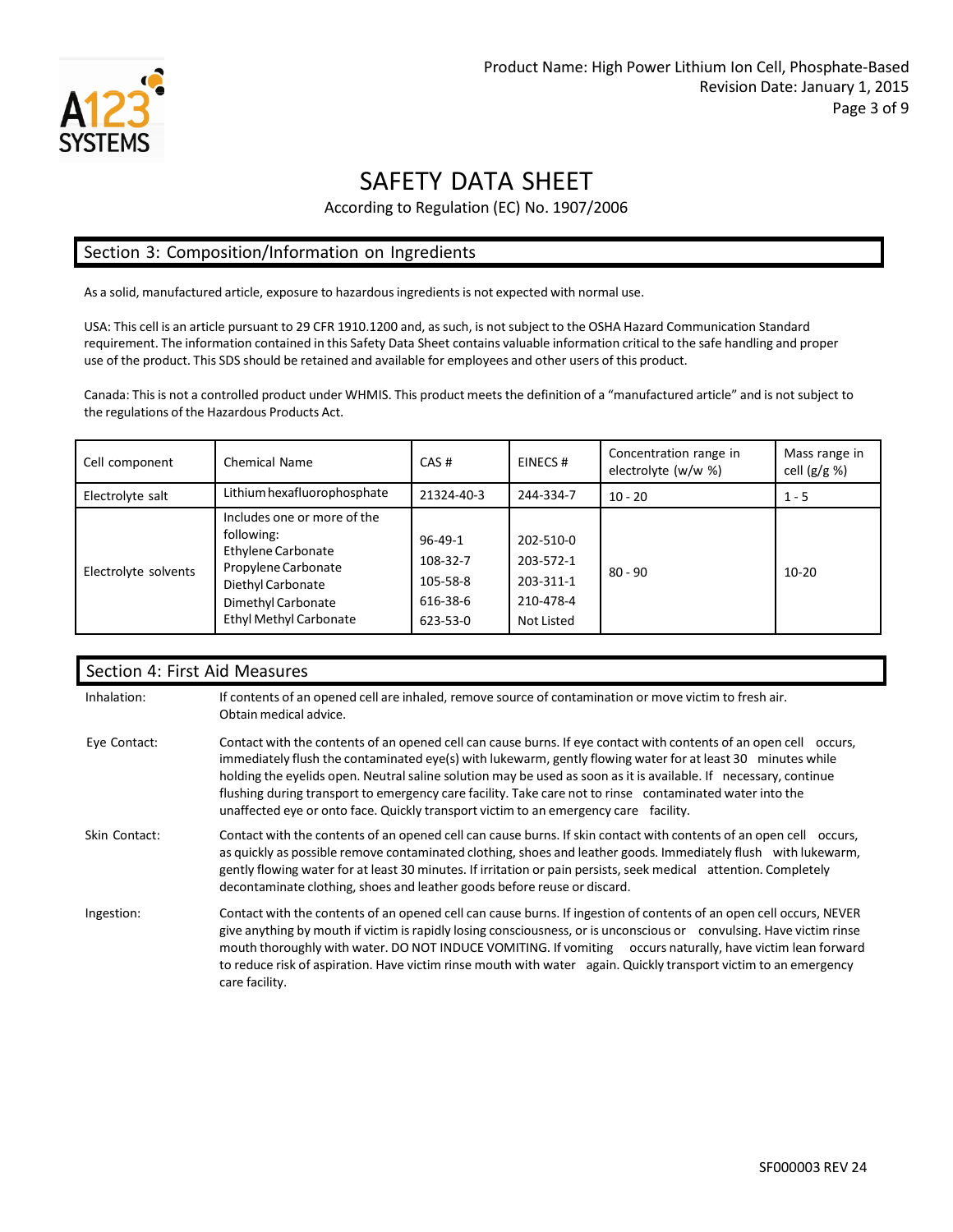

According to Regulation (EC) No. 1907/2006

#### Section 3: Composition/Information on Ingredients

As a solid, manufactured article, exposure to hazardousingredientsis not expected with normal use.

USA: This cell is an article pursuant to 29 CFR 1910.1200 and, as such, is not subject to the OSHA Hazard Communication Standard requirement. The information contained in this Safety Data Sheet contains valuable information critical to the safe handling and proper use of the product. This SDS should be retained and available for employees and other users of this product.

Canada: This is not a controlled product under WHMIS. This product meets the definition of a "manufactured article" and is not subject to the regulations of the Hazardous Products Act.

| Cell component       | Chemical Name                                                                                                                                                             | CAS#                                                    | EINECS#                                                        | Concentration range in<br>electrolyte (w/w %) | Mass range in<br>cell $(g/g \%)$ |
|----------------------|---------------------------------------------------------------------------------------------------------------------------------------------------------------------------|---------------------------------------------------------|----------------------------------------------------------------|-----------------------------------------------|----------------------------------|
| Electrolyte salt     | Lithium hexafluorophosphate                                                                                                                                               | 21324-40-3                                              | 244-334-7                                                      | $10 - 20$                                     | $1 - 5$                          |
| Electrolyte solvents | Includes one or more of the<br>following:<br><b>Ethylene Carbonate</b><br>Propylene Carbonate<br>Diethyl Carbonate<br>Dimethyl Carbonate<br><b>Ethyl Methyl Carbonate</b> | 96-49-1<br>108-32-7<br>105-58-8<br>616-38-6<br>623-53-0 | 202-510-0<br>203-572-1<br>203-311-1<br>210-478-4<br>Not Listed | $80 - 90$                                     | $10-20$                          |

#### Section 4: First Aid Measures

| Inhalation:   | If contents of an opened cell are inhaled, remove source of contamination or move victim to fresh air.<br>Obtain medical advice.                                                                                                                                                                                                                                                                                                                                                                                                                         |
|---------------|----------------------------------------------------------------------------------------------------------------------------------------------------------------------------------------------------------------------------------------------------------------------------------------------------------------------------------------------------------------------------------------------------------------------------------------------------------------------------------------------------------------------------------------------------------|
| Eye Contact:  | Contact with the contents of an opened cell can cause burns. If eye contact with contents of an open cell occurs,<br>immediately flush the contaminated eye(s) with lukewarm, gently flowing water for at least 30 minutes while<br>holding the eyelids open. Neutral saline solution may be used as soon as it is available. If necessary, continue<br>flushing during transport to emergency care facility. Take care not to rinse contaminated water into the<br>unaffected eye or onto face. Quickly transport victim to an emergency care facility. |
| Skin Contact: | Contact with the contents of an opened cell can cause burns. If skin contact with contents of an open cell occurs,<br>as quickly as possible remove contaminated clothing, shoes and leather goods. Immediately flush with lukewarm,<br>gently flowing water for at least 30 minutes. If irritation or pain persists, seek medical attention. Completely<br>decontaminate clothing, shoes and leather goods before reuse or discard.                                                                                                                     |
| Ingestion:    | Contact with the contents of an opened cell can cause burns. If ingestion of contents of an open cell occurs, NEVER<br>give anything by mouth if victim is rapidly losing consciousness, or is unconscious or convulsing. Have victim rinse<br>mouth thoroughly with water. DO NOT INDUCE VOMITING. If vomiting occurs naturally, have victim lean forward<br>to reduce risk of aspiration. Have victim rinse mouth with water again. Quickly transport victim to an emergency<br>care facility.                                                         |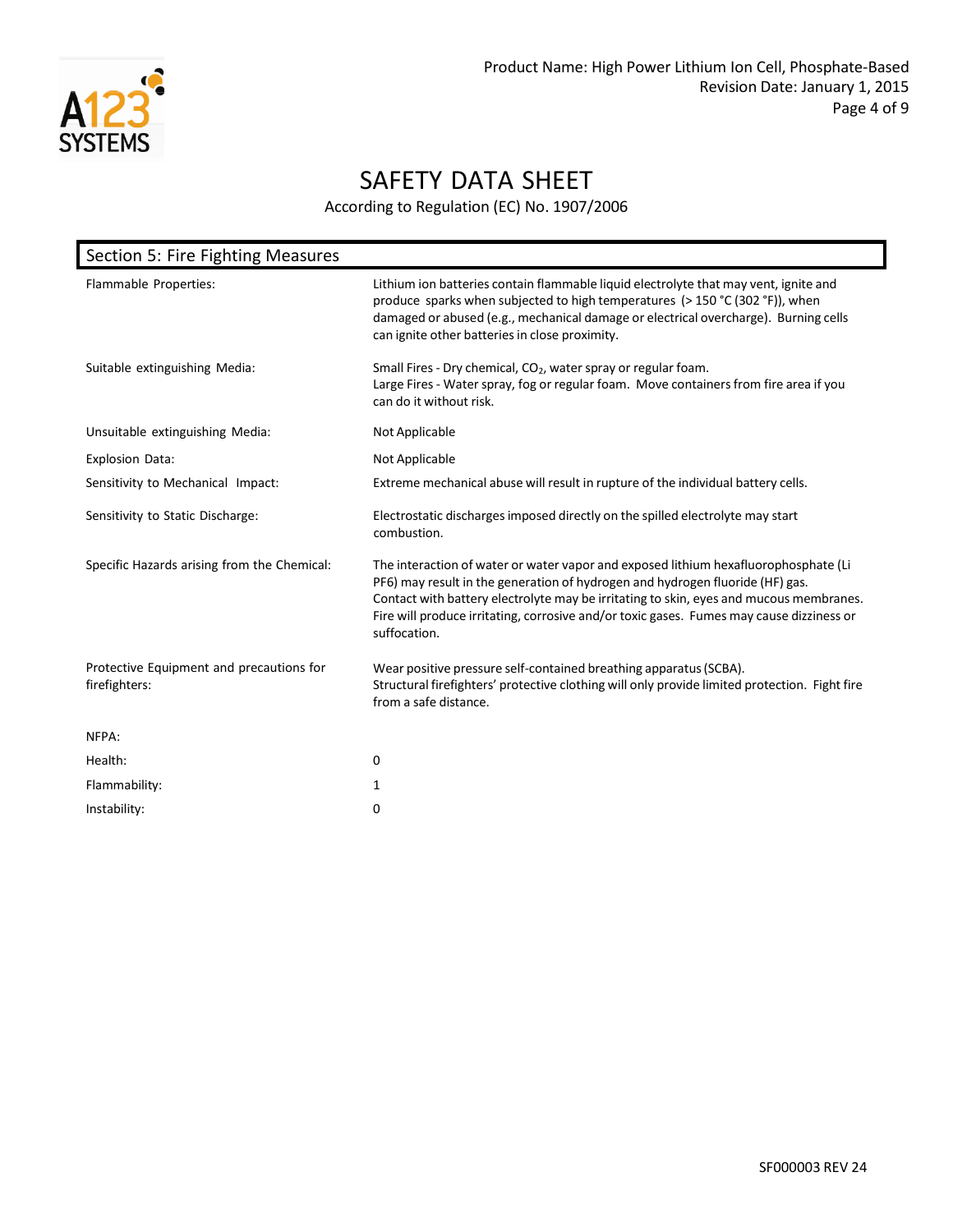

| Section 5: Fire Fighting Measures                         |                                                                                                                                                                                                                                                                                                                                                                            |
|-----------------------------------------------------------|----------------------------------------------------------------------------------------------------------------------------------------------------------------------------------------------------------------------------------------------------------------------------------------------------------------------------------------------------------------------------|
| Flammable Properties:                                     | Lithium ion batteries contain flammable liquid electrolyte that may vent, ignite and<br>produce sparks when subjected to high temperatures (> 150 °C (302 °F)), when<br>damaged or abused (e.g., mechanical damage or electrical overcharge). Burning cells<br>can ignite other batteries in close proximity.                                                              |
| Suitable extinguishing Media:                             | Small Fires - Dry chemical, CO <sub>2</sub> , water spray or regular foam.<br>Large Fires - Water spray, fog or regular foam. Move containers from fire area if you<br>can do it without risk.                                                                                                                                                                             |
| Unsuitable extinguishing Media:                           | Not Applicable                                                                                                                                                                                                                                                                                                                                                             |
| <b>Explosion Data:</b>                                    | Not Applicable                                                                                                                                                                                                                                                                                                                                                             |
| Sensitivity to Mechanical Impact:                         | Extreme mechanical abuse will result in rupture of the individual battery cells.                                                                                                                                                                                                                                                                                           |
| Sensitivity to Static Discharge:                          | Electrostatic discharges imposed directly on the spilled electrolyte may start<br>combustion.                                                                                                                                                                                                                                                                              |
| Specific Hazards arising from the Chemical:               | The interaction of water or water vapor and exposed lithium hexafluorophosphate (Li<br>PF6) may result in the generation of hydrogen and hydrogen fluoride (HF) gas.<br>Contact with battery electrolyte may be irritating to skin, eyes and mucous membranes.<br>Fire will produce irritating, corrosive and/or toxic gases. Fumes may cause dizziness or<br>suffocation. |
| Protective Equipment and precautions for<br>firefighters: | Wear positive pressure self-contained breathing apparatus (SCBA).<br>Structural firefighters' protective clothing will only provide limited protection. Fight fire<br>from a safe distance.                                                                                                                                                                                |
| NFPA:                                                     |                                                                                                                                                                                                                                                                                                                                                                            |
| Health:                                                   | 0                                                                                                                                                                                                                                                                                                                                                                          |
| Flammability:                                             | 1                                                                                                                                                                                                                                                                                                                                                                          |
| Instability:                                              | 0                                                                                                                                                                                                                                                                                                                                                                          |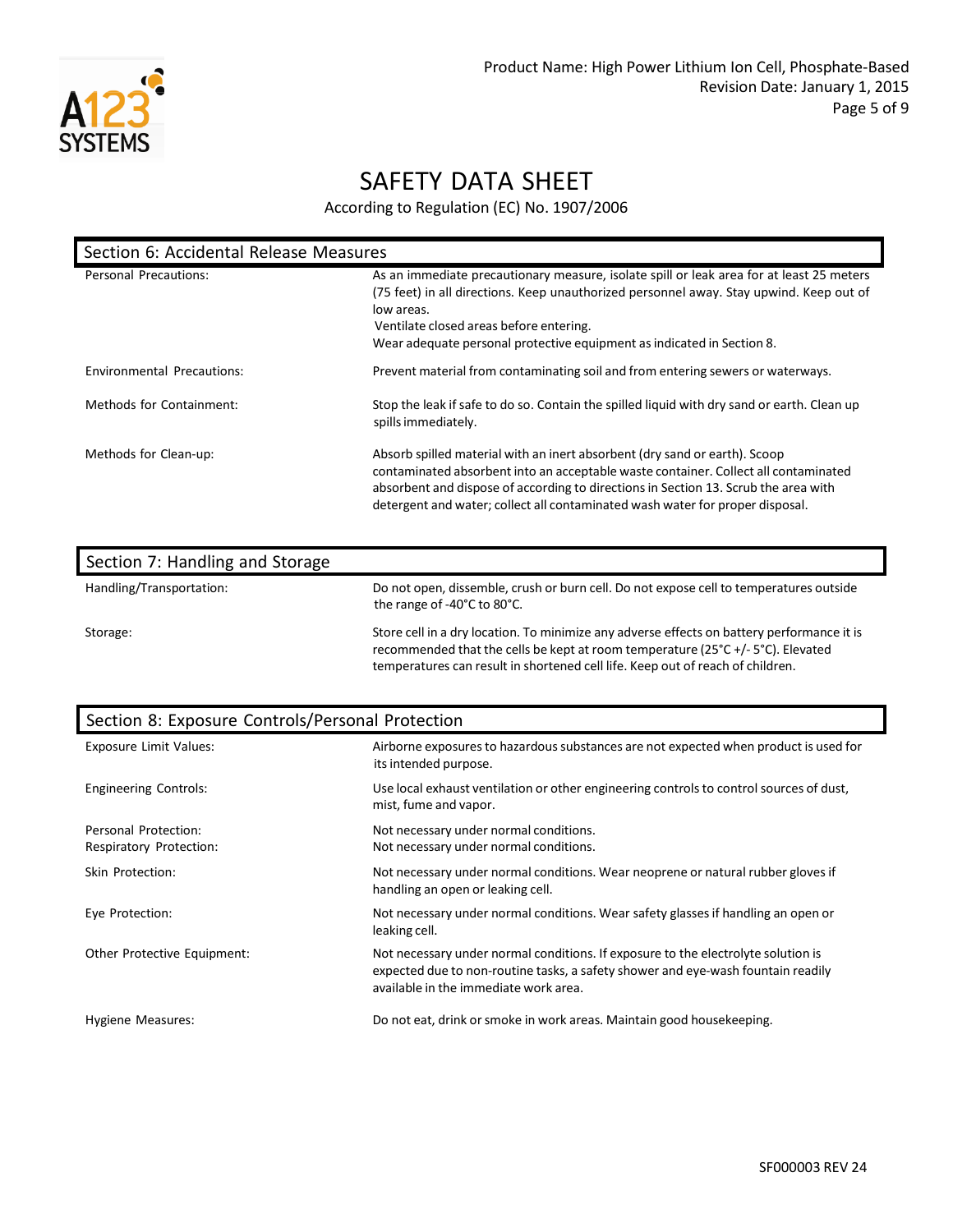

| Section 6: Accidental Release Measures |                                                                                                                                                                                                                                                                                                                                           |  |  |
|----------------------------------------|-------------------------------------------------------------------------------------------------------------------------------------------------------------------------------------------------------------------------------------------------------------------------------------------------------------------------------------------|--|--|
| Personal Precautions:                  | As an immediate precautionary measure, isolate spill or leak area for at least 25 meters<br>(75 feet) in all directions. Keep unauthorized personnel away. Stay upwind. Keep out of<br>low areas.<br>Ventilate closed areas before entering.<br>Wear adequate personal protective equipment as indicated in Section 8.                    |  |  |
| Environmental Precautions:             | Prevent material from contaminating soil and from entering sewers or waterways.                                                                                                                                                                                                                                                           |  |  |
| Methods for Containment:               | Stop the leak if safe to do so. Contain the spilled liquid with dry sand or earth. Clean up<br>spills immediately.                                                                                                                                                                                                                        |  |  |
| Methods for Clean-up:                  | Absorb spilled material with an inert absorbent (dry sand or earth). Scoop<br>contaminated absorbent into an acceptable waste container. Collect all contaminated<br>absorbent and dispose of according to directions in Section 13. Scrub the area with<br>detergent and water; collect all contaminated wash water for proper disposal. |  |  |

| Section 7: Handling and Storage |                                                                                                                                                                                                                                                                 |
|---------------------------------|-----------------------------------------------------------------------------------------------------------------------------------------------------------------------------------------------------------------------------------------------------------------|
| Handling/Transportation:        | Do not open, dissemble, crush or burn cell. Do not expose cell to temperatures outside<br>the range of -40°C to 80°C.                                                                                                                                           |
| Storage:                        | Store cell in a dry location. To minimize any adverse effects on battery performance it is<br>recommended that the cells be kept at room temperature (25°C +/- 5°C). Elevated<br>temperatures can result in shortened cell life. Keep out of reach of children. |

| Section 8: Exposure Controls/Personal Protection |                                                                                                                                                                                                                |  |
|--------------------------------------------------|----------------------------------------------------------------------------------------------------------------------------------------------------------------------------------------------------------------|--|
| <b>Exposure Limit Values:</b>                    | Airborne exposures to hazardous substances are not expected when product is used for<br>its intended purpose.                                                                                                  |  |
| <b>Engineering Controls:</b>                     | Use local exhaust ventilation or other engineering controls to control sources of dust,<br>mist, fume and vapor.                                                                                               |  |
| Personal Protection:<br>Respiratory Protection:  | Not necessary under normal conditions.<br>Not necessary under normal conditions.                                                                                                                               |  |
| Skin Protection:                                 | Not necessary under normal conditions. Wear neoprene or natural rubber gloves if<br>handling an open or leaking cell.                                                                                          |  |
| Eye Protection:                                  | Not necessary under normal conditions. Wear safety glasses if handling an open or<br>leaking cell.                                                                                                             |  |
| Other Protective Equipment:                      | Not necessary under normal conditions. If exposure to the electrolyte solution is<br>expected due to non-routine tasks, a safety shower and eye-wash fountain readily<br>available in the immediate work area. |  |
| Hygiene Measures:                                | Do not eat, drink or smoke in work areas. Maintain good housekeeping.                                                                                                                                          |  |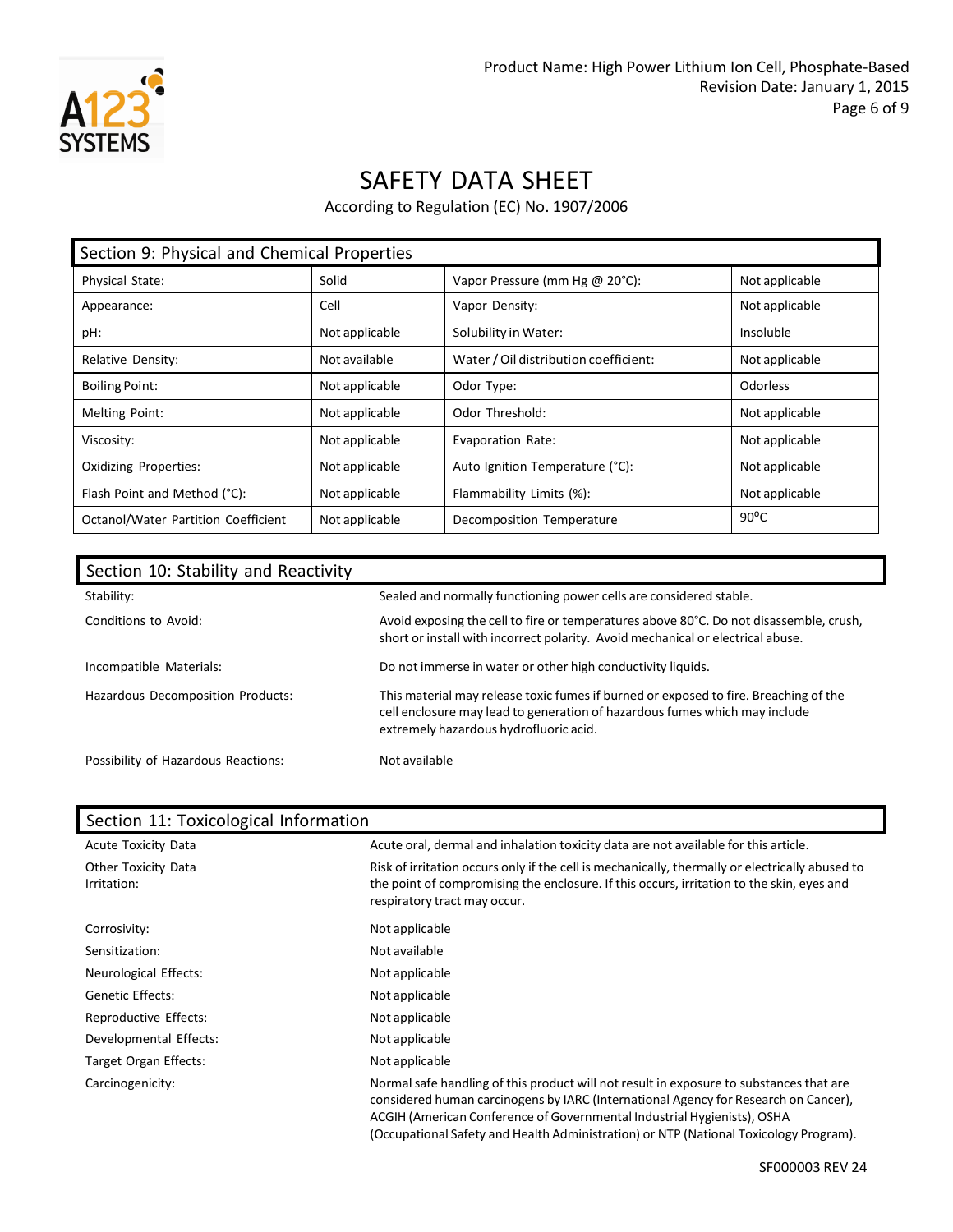

According to Regulation (EC) No. 1907/2006

| Section 9: Physical and Chemical Properties |                |                                       |                |
|---------------------------------------------|----------------|---------------------------------------|----------------|
| Physical State:                             | Solid          | Vapor Pressure (mm Hg @ 20°C):        | Not applicable |
| Appearance:                                 | Cell           | Vapor Density:                        | Not applicable |
| pH:                                         | Not applicable | Solubility in Water:                  | Insoluble      |
| Relative Density:                           | Not available  | Water / Oil distribution coefficient: | Not applicable |
| <b>Boiling Point:</b>                       | Not applicable | Odor Type:                            | Odorless       |
| <b>Melting Point:</b>                       | Not applicable | Odor Threshold:                       | Not applicable |
| Viscosity:                                  | Not applicable | Evaporation Rate:                     | Not applicable |
| <b>Oxidizing Properties:</b>                | Not applicable | Auto Ignition Temperature (°C):       | Not applicable |
| Flash Point and Method (°C):                | Not applicable | Flammability Limits (%):              | Not applicable |
| Octanol/Water Partition Coefficient         | Not applicable | Decomposition Temperature             | $90^{\circ}$ C |

| Section 10: Stability and Reactivity |                                                                                                                                                                                                              |
|--------------------------------------|--------------------------------------------------------------------------------------------------------------------------------------------------------------------------------------------------------------|
| Stability:                           | Sealed and normally functioning power cells are considered stable.                                                                                                                                           |
| Conditions to Avoid:                 | Avoid exposing the cell to fire or temperatures above 80°C. Do not disassemble, crush,<br>short or install with incorrect polarity. Avoid mechanical or electrical abuse.                                    |
| Incompatible Materials:              | Do not immerse in water or other high conductivity liquids.                                                                                                                                                  |
| Hazardous Decomposition Products:    | This material may release toxic fumes if burned or exposed to fire. Breaching of the<br>cell enclosure may lead to generation of hazardous fumes which may include<br>extremely hazardous hydrofluoric acid. |
| Possibility of Hazardous Reactions:  | Not available                                                                                                                                                                                                |

| Section 11. TOXICOIOGICAL INTOHITATION |                                                                                                                                                                                                                                                                                                                                                    |
|----------------------------------------|----------------------------------------------------------------------------------------------------------------------------------------------------------------------------------------------------------------------------------------------------------------------------------------------------------------------------------------------------|
| <b>Acute Toxicity Data</b>             | Acute oral, dermal and inhalation toxicity data are not available for this article.                                                                                                                                                                                                                                                                |
| Other Toxicity Data<br>Irritation:     | Risk of irritation occurs only if the cell is mechanically, thermally or electrically abused to<br>the point of compromising the enclosure. If this occurs, irritation to the skin, eyes and<br>respiratory tract may occur.                                                                                                                       |
| Corrosivity:                           | Not applicable                                                                                                                                                                                                                                                                                                                                     |
| Sensitization:                         | Not available                                                                                                                                                                                                                                                                                                                                      |
| Neurological Effects:                  | Not applicable                                                                                                                                                                                                                                                                                                                                     |
| <b>Genetic Effects:</b>                | Not applicable                                                                                                                                                                                                                                                                                                                                     |
| Reproductive Effects:                  | Not applicable                                                                                                                                                                                                                                                                                                                                     |
| Developmental Effects:                 | Not applicable                                                                                                                                                                                                                                                                                                                                     |
| Target Organ Effects:                  | Not applicable                                                                                                                                                                                                                                                                                                                                     |
| Carcinogenicity:                       | Normal safe handling of this product will not result in exposure to substances that are<br>considered human carcinogens by IARC (International Agency for Research on Cancer),<br>ACGIH (American Conference of Governmental Industrial Hygienists), OSHA<br>(Occupational Safety and Health Administration) or NTP (National Toxicology Program). |

#### Section 11: Toxicological Information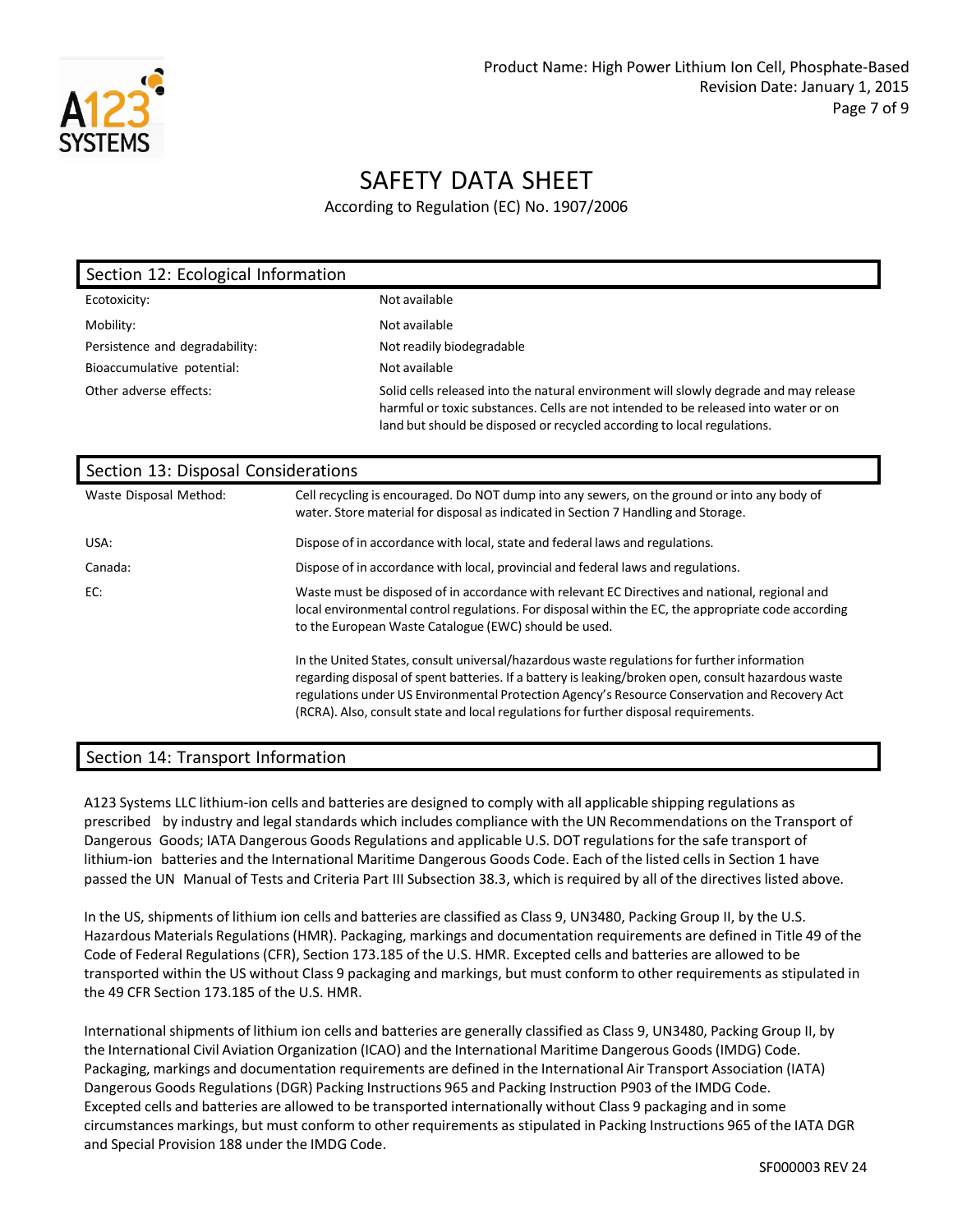

According to Regulation (EC) No. 1907/2006

| Section 12: Ecological Information |                                                                                                                                                                                                                                                         |
|------------------------------------|---------------------------------------------------------------------------------------------------------------------------------------------------------------------------------------------------------------------------------------------------------|
| Ecotoxicity:                       | Not available                                                                                                                                                                                                                                           |
| Mobility:                          | Not available                                                                                                                                                                                                                                           |
| Persistence and degradability:     | Not readily biodegradable                                                                                                                                                                                                                               |
| Bioaccumulative potential:         | Not available                                                                                                                                                                                                                                           |
| Other adverse effects:             | Solid cells released into the natural environment will slowly degrade and may release<br>harmful or toxic substances. Cells are not intended to be released into water or on<br>land but should be disposed or recycled according to local regulations. |

| Section 13: Disposal Considerations |                                                                                                                                                                                                                                                                                                                                                                                             |  |
|-------------------------------------|---------------------------------------------------------------------------------------------------------------------------------------------------------------------------------------------------------------------------------------------------------------------------------------------------------------------------------------------------------------------------------------------|--|
| Waste Disposal Method:              | Cell recycling is encouraged. Do NOT dump into any sewers, on the ground or into any body of<br>water. Store material for disposal as indicated in Section 7 Handling and Storage.                                                                                                                                                                                                          |  |
| USA:                                | Dispose of in accordance with local, state and federal laws and regulations.                                                                                                                                                                                                                                                                                                                |  |
| Canada:                             | Dispose of in accordance with local, provincial and federal laws and regulations.                                                                                                                                                                                                                                                                                                           |  |
| EC:                                 | Waste must be disposed of in accordance with relevant EC Directives and national, regional and<br>local environmental control regulations. For disposal within the EC, the appropriate code according<br>to the European Waste Catalogue (EWC) should be used.                                                                                                                              |  |
|                                     | In the United States, consult universal/hazardous waste regulations for further information<br>regarding disposal of spent batteries. If a battery is leaking/broken open, consult hazardous waste<br>regulations under US Environmental Protection Agency's Resource Conservation and Recovery Act<br>(RCRA). Also, consult state and local regulations for further disposal requirements. |  |

#### Section 14: Transport Information

A123 Systems LLC lithium-ion cells and batteries are designed to comply with all applicable shipping regulations as prescribed by industry and legal standards which includes compliance with the UN Recommendations on the Transport of Dangerous Goods; IATA Dangerous Goods Regulations and applicable U.S. DOT regulationsfor the safe transport of lithium-ion batteries and the International Maritime Dangerous Goods Code. Each of the listed cellsin Section 1 have passed the UN Manual of Tests and Criteria Part III Subsection 38.3, which is required by all of the directives listed above.

In the US, shipments of lithium ion cells and batteries are classified as Class 9, UN3480, Packing Group II, by the U.S. Hazardous Materials Regulations(HMR). Packaging, markings and documentation requirements are defined in Title 49 of the Code of Federal Regulations (CFR), Section 173.185 of the U.S. HMR. Excepted cells and batteries are allowed to be transported within the US without Class 9 packaging and markings, but must conform to other requirements as stipulated in the 49 CFR Section 173.185 of the U.S. HMR.

International shipments of lithium ion cells and batteries are generally classified as Class 9, UN3480, Packing Group II, by the International Civil Aviation Organization (ICAO) and the International Maritime Dangerous Goods(IMDG) Code. Packaging, markings and documentation requirements are defined in the International Air Transport Association (IATA) Dangerous Goods Regulations (DGR) Packing Instructions 965 and Packing Instruction P903 of the IMDG Code. Excepted cells and batteries are allowed to be transported internationally without Class 9 packaging and in some circumstances markings, but must conform to other requirements as stipulated in Packing Instructions 965 of the IATA DGR and Special Provision 188 under the IMDG Code.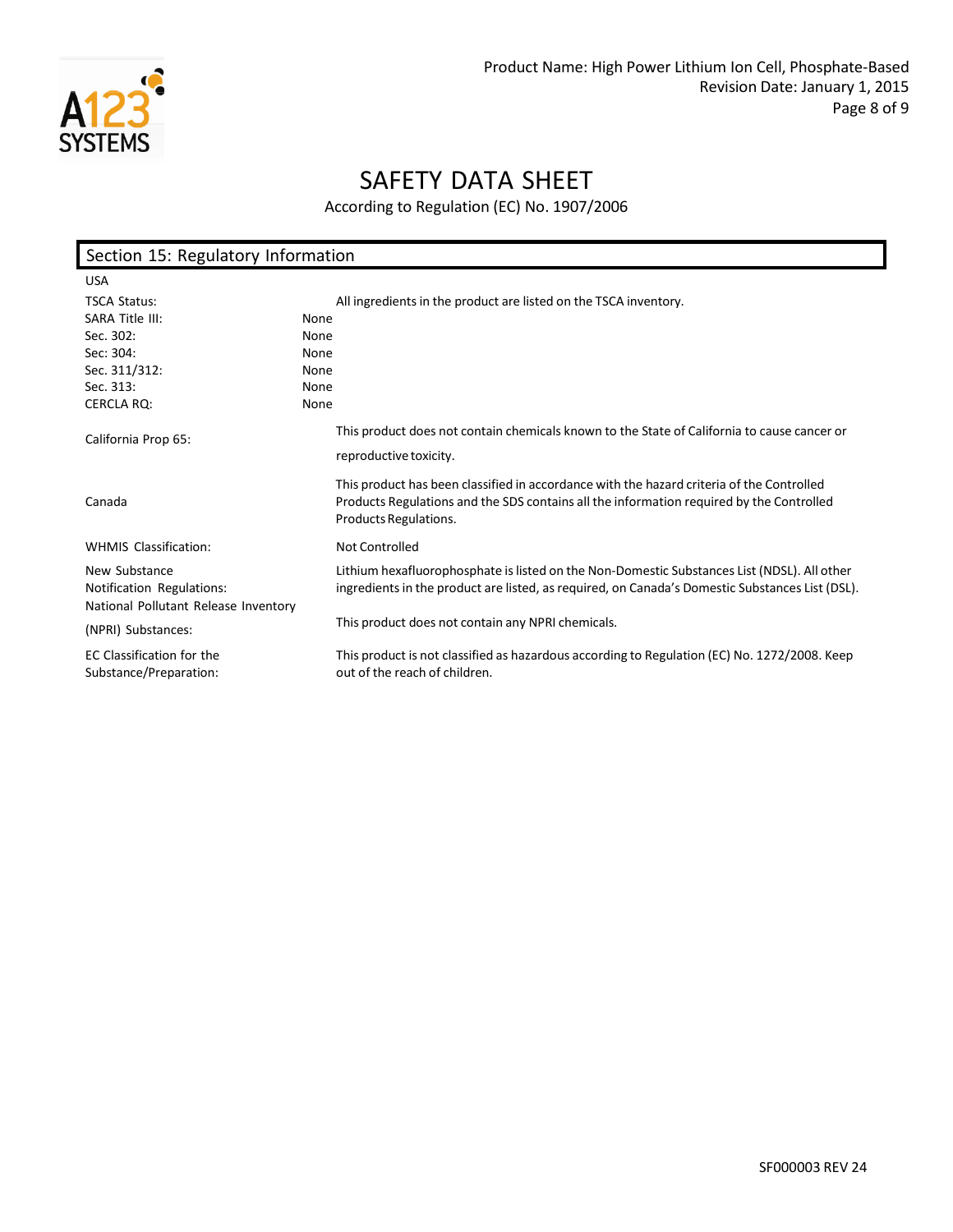

| Section 15: Regulatory Information                                |                                                                                                                                                                                                                |  |
|-------------------------------------------------------------------|----------------------------------------------------------------------------------------------------------------------------------------------------------------------------------------------------------------|--|
| <b>USA</b>                                                        |                                                                                                                                                                                                                |  |
| <b>TSCA Status:</b>                                               | All ingredients in the product are listed on the TSCA inventory.                                                                                                                                               |  |
| SARA Title III:                                                   | None                                                                                                                                                                                                           |  |
| Sec. 302:                                                         | None                                                                                                                                                                                                           |  |
| Sec: 304:                                                         | None                                                                                                                                                                                                           |  |
| Sec. 311/312:                                                     | None                                                                                                                                                                                                           |  |
| Sec. 313:                                                         | None                                                                                                                                                                                                           |  |
| <b>CERCLA RO:</b>                                                 | None                                                                                                                                                                                                           |  |
| California Prop 65:                                               | This product does not contain chemicals known to the State of California to cause cancer or                                                                                                                    |  |
|                                                                   | reproductive toxicity.                                                                                                                                                                                         |  |
| Canada                                                            | This product has been classified in accordance with the hazard criteria of the Controlled<br>Products Regulations and the SDS contains all the information required by the Controlled<br>Products Regulations. |  |
| <b>WHMIS Classification:</b>                                      | Not Controlled                                                                                                                                                                                                 |  |
| New Substance                                                     | Lithium hexafluorophosphate is listed on the Non-Domestic Substances List (NDSL). All other                                                                                                                    |  |
| Notification Regulations:<br>National Pollutant Release Inventory | ingredients in the product are listed, as required, on Canada's Domestic Substances List (DSL).                                                                                                                |  |
| (NPRI) Substances:                                                | This product does not contain any NPRI chemicals.                                                                                                                                                              |  |
| EC Classification for the                                         | This product is not classified as hazardous according to Regulation (EC) No. 1272/2008. Keep                                                                                                                   |  |
| Substance/Preparation:                                            | out of the reach of children.                                                                                                                                                                                  |  |